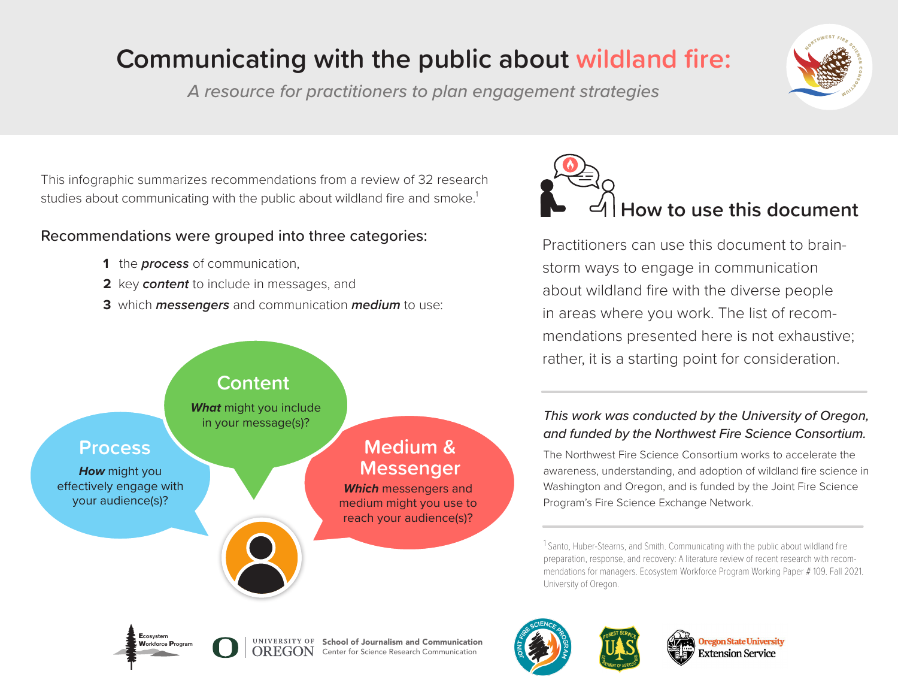# **Communicating with the public about wildland fire:**

*A resource for practitioners to plan engagement strategies*

This infographic summarizes recommendations from a review of 32 research studies about communicating with the public about wildland fire and smoke.<sup>1</sup>

## Recommendations were grouped into three categories:

- **1** the *process* of communication,
- **2** key *content* to include in messages, and
- **3** which *messengers* and communication *medium* to use:





Practitioners can use this document to brainstorm ways to engage in communication about wildland fire with the diverse people in areas where you work. The list of recommendations presented here is not exhaustive; rather, it is a starting point for consideration.

### *This work was conducted by the University of Oregon, and funded by the Northwest Fire Science Consortium.*

The Northwest Fire Science Consortium works to accelerate the awareness, understanding, and adoption of wildland fire science in Washington and Oregon, and is funded by the Joint Fire Science Program's Fire Science Exchange Network.

<sup>1</sup> Santo, Huber-Stearns, and Smith. Communicating with the public about wildland fire preparation, response, and recovery: A literature review of recent research with recommendations for managers. Ecosystem Workforce Program Working Paper # 109. Fall 2021. University of Oregon.









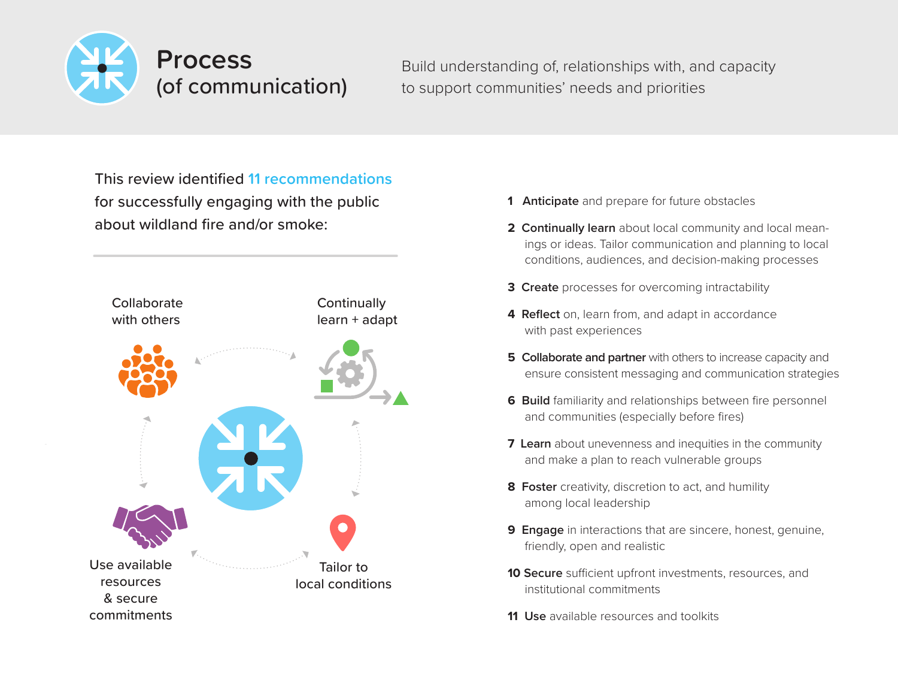

Build understanding of, relationships with, and capacity to support communities' needs and priorities

This review identified **11 recommendations** for successfully engaging with the public about wildland fire and/or smoke:



- **1 Anticipate** and prepare for future obstacles
- **2 Continually learn** about local community and local meanings or ideas. Tailor communication and planning to local conditions, audiences, and decision-making processes
- **3 Create** processes for overcoming intractability
- **4 Reflect** on, learn from, and adapt in accordance with past experiences
- **5** Collaborate and partner with others to increase capacity and ensure consistent messaging and communication strategies
- **6 Build** familiarity and relationships between fire personnel and communities (especially before fires)
- **7 Learn** about unevenness and inequities in the community and make a plan to reach vulnerable groups
- **8 Foster** creativity, discretion to act, and humility among local leadership
- **9 Engage** in interactions that are sincere, honest, genuine, friendly, open and realistic
- **10 Secure** sufficient upfront investments, resources, and institutional commitments
- **11 Use** available resources and toolkits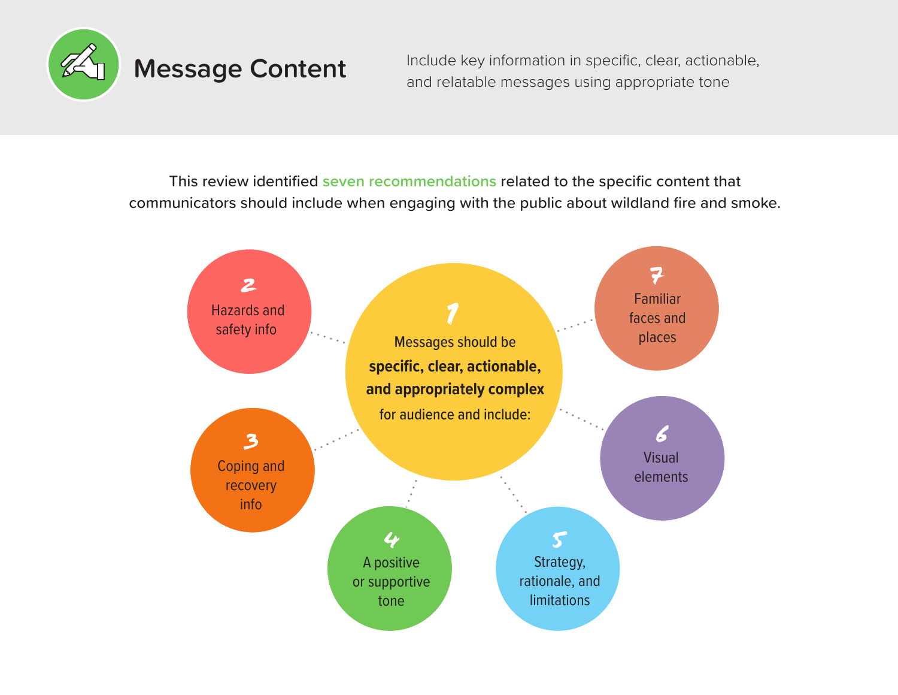

**Message Content** Include key information in specific, clear, actionable, and relatable messages using appropriate tone

This review identified **seven recommendations** related to the specific content that communicators should include when engaging with the public about wildland fire and smoke.

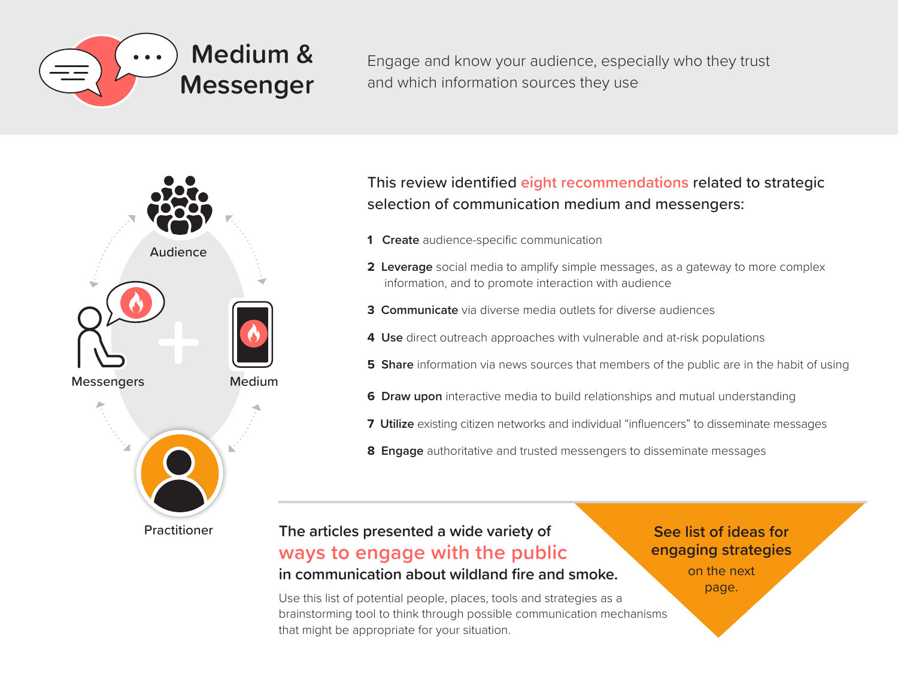

Engage and know your audience, especially who they trust and which information sources they use



This review identified **eight recommendations** related to strategic selection of communication medium and messengers:

- **1 Create** audience-specific communication
- **2 Leverage** social media to amplify simple messages, as a gateway to more complex information, and to promote interaction with audience
- **3 Communicate** via diverse media outlets for diverse audiences
- **4 Use** direct outreach approaches with vulnerable and at-risk populations
- **5** Share information via news sources that members of the public are in the habit of using
- **6** Draw upon interactive media to build relationships and mutual understanding
- **7 Utilize** existing citizen networks and individual "influencers" to disseminate messages
- **8 Engage** authoritative and trusted messengers to disseminate messages

### **The articles presented a wide variety of ways to engage with the public in communication about wildland fire and smoke.**

Use this list of potential people, places, tools and strategies as a brainstorming tool to think through possible communication mechanisms that might be appropriate for your situation.

**See list of ideas for engaging strategies** on the next page.